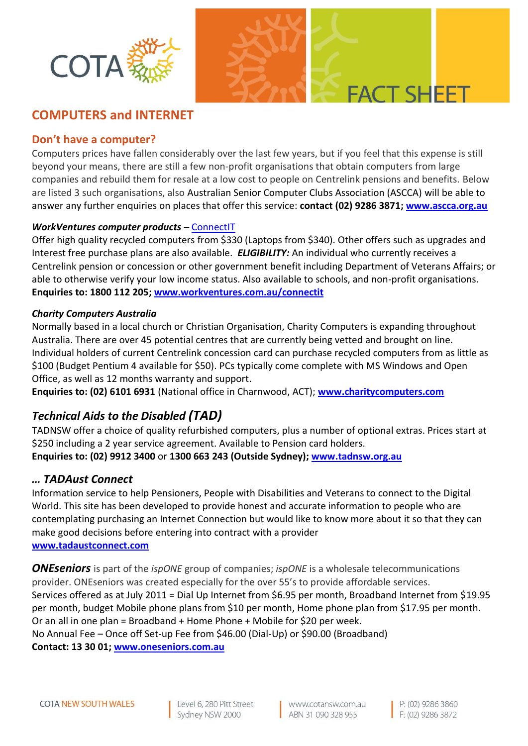



# **COMPUTERS and INTERNET**

## **Don't have a computer?**

Computers prices have fallen considerably over the last few years, but if you feel that this expense is still beyond your means, there are still a few non-profit organisations that obtain computers from large companies and rebuild them for resale at a low cost to people on Centrelink pensions and benefits. Below are listed 3 such organisations, also Australian Senior Computer Clubs Association (ASCCA) will be able to answer any further enquiries on places that offer this service: **contact (02) 9286 3871[; www.ascca.org.au](http://www.ascca.org.au/)**

## *WorkVentures computer products –* [ConnectIT](http://connectit.workventures.net.au/wv/new/default.aspx)

Offer high quality recycled computers from \$330 (Laptops from \$340). Other offers such as upgrades and Interest free purchase plans are also available. *ELIGIBILITY:* An individual who currently receives a Centrelink pension or concession or other government benefit including Department of Veterans Affairs; or able to otherwise verify your low income status. Also available to schools, and non-profit organisations. **Enquiries to: 1800 112 205; [www.workventures.com.au/connectit](http://www.workventures.com.au/connectit)**

### *Charity Computers Australia*

Normally based in a local church or Christian Organisation, Charity Computers is expanding throughout Australia. There are over 45 potential centres that are currently being vetted and brought on line. Individual holders of current Centrelink concession card can purchase recycled computers from as little as \$100 (Budget Pentium 4 available for \$50). PCs typically come complete with MS Windows and Open Office, as well as 12 months warranty and support.

**Enquiries to: (02) 6101 6931** (National office in Charnwood, ACT); **[www.charitycomputers.com](http://www.charitycomputers.com/)**

# *Technical Aids to the Disabled (TAD)*

TADNSW offer a choice of quality refurbished computers, plus a number of optional extras. Prices start at \$250 including a 2 year service agreement. Available to Pension card holders.

**Enquiries to: (02) 9912 3400** or **1300 663 243 (Outside Sydney); [www.tadnsw.org.au](http://www.tadnsw.org.au/)**

## *… TADAust Connect*

Information service to help Pensioners, People with Disabilities and Veterans to connect to the Digital World. This site has been developed to provide honest and accurate information to people who are contemplating purchasing an Internet Connection but would like to know more about it so that they can make good decisions before entering into contract with a provider **[www.tadaustconnect.com](http://www.tadaustconnect.com/)**

*ONEseniors* is part of the *ispONE* group of companies; *ispONE* is a wholesale telecommunications provider. ONEseniors was created especially for the over 55's to provide affordable services. Services offered as at July 2011 = Dial Up Internet from \$6.95 per month, Broadband Internet from \$19.95 per month, budget Mobile phone plans from \$10 per month, Home phone plan from \$17.95 per month. Or an all in one plan = Broadband + Home Phone + Mobile for \$20 per week. No Annual Fee – Once off Set-up Fee from \$46.00 (Dial-Up) or \$90.00 (Broadband) **Contact: 13 30 01; [www.oneseniors.com.au](http://www.oneseniors.com.au/)**

Level 6, 280 Pitt Street Sydney NSW 2000

www.cotansw.com.au ABN 31 090 328 955

P: (02) 9286 3860 F: (02) 9286 3872

**FACT SHEET**